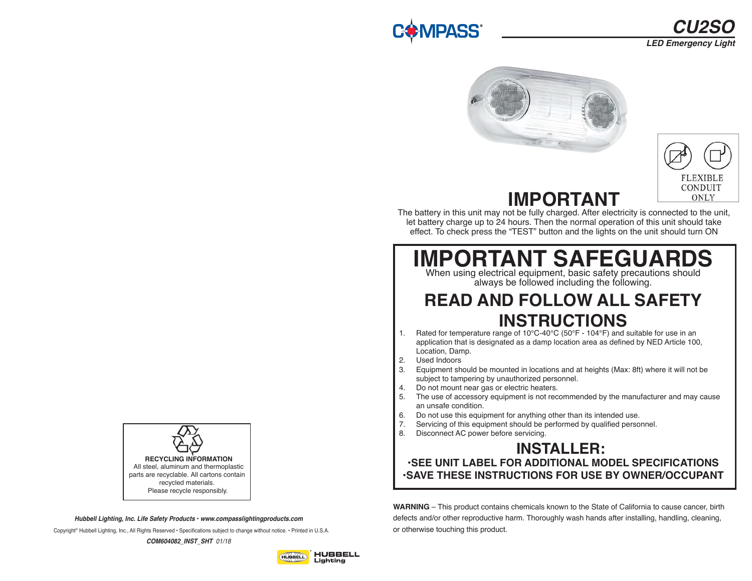# **/IPASS**





**IMPORTANT**  The battery in this unit may not be fully charged. After electricity is connected to the unit, let battery charge up to 24 hours. Then the normal operation of this unit should take

# **IMPORTANT SAFEGUARDS**

effect. To check press the "TEST" button and the lights on the unit should turn ON

When using electrical equipment, basic safety precautions should always be followed including the following.

## **READ AND FOLLOW ALL SAFETY INSTRUCTIONS**

- 1. Rated for temperature range of 10°C-40°C (50°F 104°F) and suitable for use in an application that is designated as a damp location area as defined by NED Article 100, Location, Damp.
- 2. Used Indoors
- 3. Equipment should be mounted in locations and at heights (Max: 8ft) where it will not be subject to tampering by unauthorized personnel.
- 4. Do not mount near gas or electric heaters.
- 5. The use of accessory equipment is not recommended by the manufacturer and may cause an unsafe condition.
- 6. Do not use this equipment for anything other than its intended use.<br>7. Servicing of this equipment should be performed by qualified perso
- Servicing of this equipment should be performed by qualified personnel.
- 8. Disconnect AC power before servicing.

### **INSTALLER: •SEE UNIT LABEL FOR ADDITIONAL MODEL SPECIFICATIONS •SAVE THESE INSTRUCTIONS FOR USE BY OWNER/OCCUPANT**

**WARNING** – This product contains chemicals known to the State of California to cause cancer, birth defects and/or other reproductive harm. Thoroughly wash hands after installing, handling, cleaning, or otherwise touching this product.



*Hubbell Lighting, Inc. Life Safety Products • www.compasslightingproducts.com*

Copyright© Hubbell Lighting, Inc., All Rights Reserved • Specifications subject to change without notice. • Printed in U.S.A.

*COM604082\_INST\_SHT 01/18*